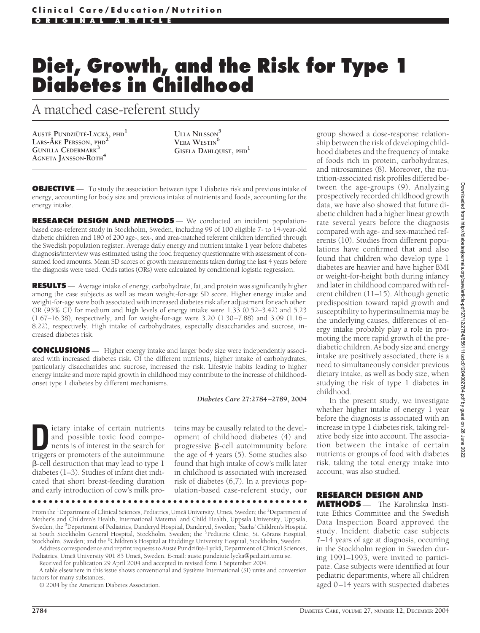# **Diet, Growth, and the Risk for Type 1 Diabetes in Childhood**

# A matched case-referent study

**AUSTE˙ PUNDZIUT E˙-LYCKÅ, PHD<sup>1</sup> LARS-ÅKE PERSSON, PHD<sup>2</sup> GUNILLA CEDERMARK<sup>3</sup> AGNETA JANSSON-ROTH<sup>4</sup>**

**ULLA NILSSON<sup>5</sup> VERA WESTIN<sup>6</sup> GISELA DAHLQUIST, PHD<sup>1</sup>**

**OBJECTIVE** — To study the association between type 1 diabetes risk and previous intake of energy, accounting for body size and previous intake of nutrients and foods, accounting for the energy intake.

**RESEARCH DESIGN AND METHODS** — We conducted an incident populationbased case-referent study in Stockholm, Sweden, including 99 of 100 eligible 7- to 14-year-old diabetic children and 180 of 200 age-, sex-, and area-matched referent children identified through the Swedish population register. Average daily energy and nutrient intake 1 year before diabetes diagnosis/interview was estimated using the food frequency questionnaire with assessment of consumed food amounts. Mean SD scores of growth measurements taken during the last 4 years before the diagnosis were used. Odds ratios (ORs) were calculated by conditional logistic regression.

**RESULTS** — Average intake of energy, carbohydrate, fat, and protein was significantly higher among the case subjects as well as mean weight-for-age SD score. Higher energy intake and weight-for-age were both associated with increased diabetes risk after adjustment for each other: OR (95% CI) for medium and high levels of energy intake were 1.33 (0.52–3.42) and 5.23 (1.67–16.38), respectively, and for weight-for-age were 3.20 (1.30–7.88) and 3.09 (1.16– 8.22), respectively. High intake of carbohydrates, especially disaccharides and sucrose, increased diabetes risk.

**CONCLUSIONS** — Higher energy intake and larger body size were independently associated with increased diabetes risk. Of the different nutrients, higher intake of carbohydrates, particularly disaccharides and sucrose, increased the risk. Lifestyle habits leading to higher energy intake and more rapid growth in childhood may contribute to the increase of childhoodonset type 1 diabetes by different mechanisms.

*Diabetes Care* **27:2784 –2789, 2004**

**D**ietary intake of certain nutrients<br>
and possible toxic food compo-<br>
nents is of interest in the search for<br>
triggers or promoters of the autoimmune and possible toxic food compotriggers or promoters of the autoimmune  $\beta$ -cell destruction that may lead to type 1 diabetes (1–3). Studies of infant diet indicated that short breast-feeding duration and early introduction of cow's milk pro-

teins may be causally related to the development of childhood diabetes (4) and progressive  $\beta$ -cell autoimmunity before the age of 4 years (5). Some studies also found that high intake of cow's milk later in childhood is associated with increased risk of diabetes (6,7). In a previous population-based case-referent study, our

●●●●●●●●●●●●●●●●●●●●●●●●●●●●●●●●●●●●●●●●●●●●●●●●●

From the <sup>1</sup>Department of Clinical Sciences, Pediatrics, Umeå University, Umeå, Sweden; the <sup>2</sup>Department of Mother's and Children's Health, International Maternal and Child Health, Uppsala University, Uppsala, Sweden; the <sup>3</sup>Department of Pediatrics, Danderyd Hospital, Danderyd, Sweden; <sup>4</sup>Sachs' Children's Hospital at South Stockholm General Hospital, Stockholm, Sweden; the <sup>5</sup>Pediatric Clinic, St. Görans Hospital, Stockholm, Sweden; and the <sup>6</sup>Children's Hospital at Huddinge University Hospital, Stockholm, Sweden. Address correspondence and reprint requests to Auste Pundziūte-Lyckå, Department of Clinical Sciences,

Pediatrics, Umeå University 901 85 Umeå, Sweden. E-mail: auste.pundziute.lycka@pediatri.umu.se. Received for publication 29 April 2004 and accepted in revised form 1 September 2004.

A table elsewhere in this issue shows conventional and Système International (SI) units and conversion factors for many substances.

© 2004 by the American Diabetes Association.

group showed a dose-response relationship between the risk of developing childhood diabetes and the frequency of intake of foods rich in protein, carbohydrates, and nitrosamines (8). Moreover, the nutrition-associated risk profiles differed between the age-groups (9). Analyzing prospectively recorded childhood growth data, we have also showed that future diabetic children had a higher linear growth rate several years before the diagnosis compared with age- and sex-matched referents (10). Studies from different populations have confirmed that and also found that children who develop type 1 diabetes are heavier and have higher BMI or weight-for-height both during infancy and later in childhood compared with referent children (11–15). Although genetic predisposition toward rapid growth and susceptibility to hyperinsulinemia may be the underlying causes, differences of energy intake probably play a role in promoting the more rapid growth of the prediabetic children. As body size and energy intake are positively associated, there is a need to simultaneously consider previous dietary intake, as well as body size, when studying the risk of type 1 diabetes in childhood.

In the present study, we investigate whether higher intake of energy 1 year before the diagnosis is associated with an increase in type 1 diabetes risk, taking relative body size into account. The association between the intake of certain nutrients or groups of food with diabetes risk, taking the total energy intake into account, was also studied.

## **RESEARCH DESIGN AND**

**METHODS** — The Karolinska Institute Ethics Committee and the Swedish Data Inspection Board approved the study. Incident diabetic case subjects 7–14 years of age at diagnosis, occurring in the Stockholm region in Sweden during 1991–1993, were invited to participate. Case subjects were identified at four pediatric departments, where all children aged 0–14 years with suspected diabetes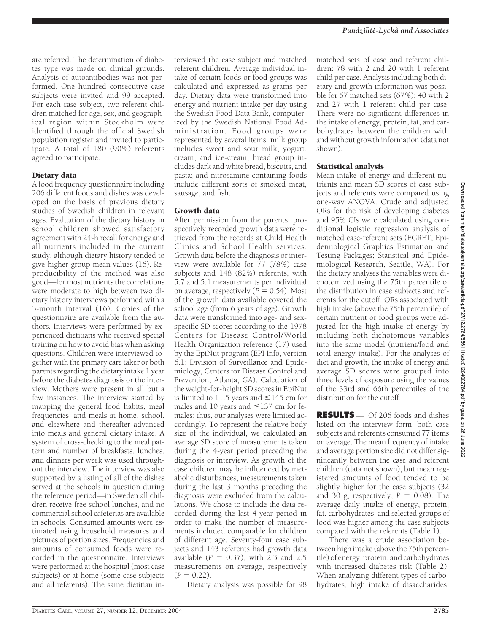are referred. The determination of diabetes type was made on clinical grounds. Analysis of autoantibodies was not performed. One hundred consecutive case subjects were invited and 99 accepted. For each case subject, two referent children matched for age, sex, and geographical region within Stockholm were identified through the official Swedish population register and invited to participate. A total of 180 (90%) referents agreed to participate.

# Dietary data

A food frequency questionnaire including 206 different foods and dishes was developed on the basis of previous dietary studies of Swedish children in relevant ages. Evaluation of the dietary history in school children showed satisfactory agreement with 24-h recall for energy and all nutrients included in the current study, although dietary history tended to give higher group mean values (16). Reproducibility of the method was also good—for most nutrients the correlations were moderate to high between two dietary history interviews performed with a 3-month interval (16). Copies of the questionnaire are available from the authors. Interviews were performed by experienced dietitians who received special training on how to avoid bias when asking questions. Children were interviewed together with the primary care taker or both parents regarding the dietary intake 1 year before the diabetes diagnosis or the interview. Mothers were present in all but a few instances. The interview started by mapping the general food habits, meal frequencies, and meals at home, school, and elsewhere and thereafter advanced into meals and general dietary intake. A system of cross-checking to the meal pattern and number of breakfasts, lunches, and dinners per week was used throughout the interview. The interview was also supported by a listing of all of the dishes served at the schools in question during the reference period—in Sweden all children receive free school lunches, and no commercial school cafeterias are available in schools. Consumed amounts were estimated using household measures and pictures of portion sizes. Frequencies and amounts of consumed foods were recorded in the questionnaire. Interviews were performed at the hospital (most case subjects) or at home (some case subjects and all referents). The same dietitian in-

terviewed the case subject and matched referent children. Average individual intake of certain foods or food groups was calculated and expressed as grams per day. Dietary data were transformed into energy and nutrient intake per day using the Swedish Food Data Bank, computerized by the Swedish National Food Administration. Food groups were represented by several items: milk group includes sweet and sour milk, yogurt, cream, and ice-cream; bread group includes dark and white bread, biscuits, and pasta; and nitrosamine-containing foods include different sorts of smoked meat, sausage, and fish.

### Growth data

After permission from the parents, prospectively recorded growth data were retrieved from the records at Child Health Clinics and School Health services. Growth data before the diagnosis or interview were available for  $77$  (78%) case subjects and 148 (82%) referents, with 5.7 and 5.1 measurements per individual on average, respectively  $(P = 0.54)$ . Most of the growth data available covered the school age (from 6 years of age). Growth data were transformed into age- and sexspecific SD scores according to the 1978 Centers for Disease Control/World Health Organization reference (17) used by the EpiNut program (EPI Info, version 6.1; Division of Surveillance and Epidemiology, Centers for Disease Control and Prevention, Atlanta, GA). Calculation of the weight-for-height SD scores in EpiNut is limited to 11.5 years and  $\leq$ 145 cm for males and 10 years and  $\leq$ 137 cm for females; thus, our analyses were limited accordingly. To represent the relative body size of the individual, we calculated an average SD score of measurements taken during the 4-year period preceding the diagnosis or interview. As growth of the case children may be influenced by metabolic disturbances, measurements taken during the last 3 months preceding the diagnosis were excluded from the calculations. We chose to include the data recorded during the last 4-year period in order to make the number of measurements included comparable for children of different age. Seventy-four case subjects and 143 referents had growth data available  $(P = 0.37)$ , with 2.3 and 2.5 measurements on average, respectively  $(P = 0.22)$ .

Dietary analysis was possible for 98

matched sets of case and referent children: 78 with 2 and 20 with 1 referent child per case. Analysis including both dietary and growth information was possible for 67 matched sets (67%): 40 with 2 and 27 with 1 referent child per case. There were no significant differences in the intake of energy, protein, fat, and carbohydrates between the children with and without growth information (data not shown).

#### Statistical analysis

Mean intake of energy and different nutrients and mean SD scores of case subjects and referents were compared using one-way ANOVA. Crude and adjusted ORs for the risk of developing diabetes and 95% CIs were calculated using conditional logistic regression analysis of matched case-referent sets (EGRET, Epidemiological Graphics Estimation and Testing Packages; Statistical and Epidemiological Research, Seattle, WA). For the dietary analyses the variables were dichotomized using the 75th percentile of the distribution in case subjects and referents for the cutoff. ORs associated with high intake (above the 75th percentile) of certain nutrient or food groups were adjusted for the high intake of energy by including both dichotomous variables into the same model (nutrient/food and total energy intake). For the analyses of diet and growth, the intake of energy and average SD scores were grouped into three levels of exposure using the values of the 33rd and 66th percentiles of the distribution for the cutoff.

**RESULTS** — Of 206 foods and dishes listed on the interview form, both case subjects and referents consumed 77 items on average. The mean frequency of intake and average portion size did not differ significantly between the case and referent children (data not shown), but mean registered amounts of food tended to be slightly higher for the case subjects (32 and 30 g, respectively,  $P = 0.08$ ). The average daily intake of energy, protein, fat, carbohydrates, and selected groups of food was higher among the case subjects compared with the referents (Table 1).

There was a crude association between high intake (above the 75th percentile) of energy, protein, and carbohydrates with increased diabetes risk (Table 2). When analyzing different types of carbohydrates, high intake of disaccharides,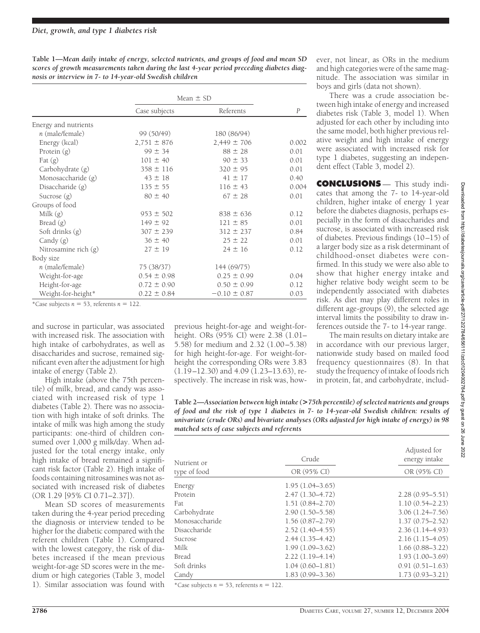**Table 1—***Mean daily intake of energy, selected nutrients, and groups of food and mean SD scores of growth measurements taken during the last 4-year period preceding diabetes diagnosis or interview in 7- to 14-year-old Swedish children*

|                        | Mean $\pm$ SD   |                  |                |  |
|------------------------|-----------------|------------------|----------------|--|
|                        | Case subjects   | Referents        | $\overline{P}$ |  |
| Energy and nutrients   |                 |                  |                |  |
| n (male/female)        | 99 (50/49)      | 180 (86/94)      |                |  |
| Energy (kcal)          | $2,751 \pm 876$ | $2,449 \pm 706$  | 0.002          |  |
| Protein $(g)$          | $99 \pm 34$     | $88 \pm 28$      | 0.01           |  |
| Fat $(g)$              | $101 \pm 40$    | $90 \pm 33$      | 0.01           |  |
| Carbohydrate (g)       | $358 \pm 116$   | $320 \pm 95$     | 0.01           |  |
| Monosaccharide (g)     | $43 \pm 18$     | $41 \pm 17$      | 0.40           |  |
| Disaccharide $(g)$     | $135 \pm 55$    | $116 \pm 43$     | 0.004          |  |
| Sucrose $(g)$          | $80 \pm 40$     | $67 \pm 28$      | 0.01           |  |
| Groups of food         |                 |                  |                |  |
| Milk $(g)$             | $953 \pm 502$   | $838 \pm 636$    | 0.12           |  |
| Bread $(g)$            | $149 \pm 92$    | $121 \pm 85$     | 0.01           |  |
| Soft drinks (g)        | $307 \pm 239$   | $312 \pm 237$    | 0.84           |  |
| Candy (g)              | $36 \pm 40$     | $25 \pm 22$      | 0.01           |  |
| Nitrosamine rich $(g)$ | $27 \pm 19$     | $24 \pm 16$      | 0.12           |  |
| Body size              |                 |                  |                |  |
| n (male/female)        | 75 (38/37)      | 144 (69/75)      |                |  |
| Weight-for-age         | $0.54 \pm 0.98$ | $0.25 \pm 0.99$  | 0.04           |  |
| Height-for-age         | $0.72 \pm 0.90$ | $0.50 \pm 0.99$  | 0.12           |  |
| Weight-for-height*     | $0.22 \pm 0.84$ | $-0.10 \pm 0.87$ | 0.03           |  |

\*Case subjects  $n = 53$ , referents  $n = 122$ .

and sucrose in particular, was associated with increased risk. The association with high intake of carbohydrates, as well as disaccharides and sucrose, remained significant even after the adjustment for high intake of energy (Table 2).

High intake (above the 75th percentile) of milk, bread, and candy was associated with increased risk of type 1 diabetes (Table 2). There was no association with high intake of soft drinks. The intake of milk was high among the study participants: one-third of children consumed over 1,000 g milk/day. When adjusted for the total energy intake, only high intake of bread remained a significant risk factor (Table 2). High intake of foods containing nitrosamines was not associated with increased risk of diabetes (OR 1.29 [95% CI 0.71–2.37]).

Mean SD scores of measurements taken during the 4-year period preceding the diagnosis or interview tended to be higher for the diabetic compared with the referent children (Table 1). Compared with the lowest category, the risk of diabetes increased if the mean previous weight-for-age SD scores were in the medium or high categories (Table 3, model 1). Similar association was found with

previous height-for-age and weight-forheight. ORs (95% CI) were 2.38 (1.01– 5.58) for medium and 2.32 (1.00–5.38) for high height-for-age. For weight-forheight the corresponding ORs were 3.83 (1.19–12.30) and 4.09 (1.23–13.63), respectively. The increase in risk was, however, not linear, as ORs in the medium and high categories were of the same magnitude. The association was similar in boys and girls (data not shown).

There was a crude association between high intake of energy and increased diabetes risk (Table 3, model 1). When adjusted for each other by including into the same model, both higher previous relative weight and high intake of energy were associated with increased risk for type 1 diabetes, suggesting an independent effect (Table 3, model 2).

**CONCLUSIONS** — This study indicates that among the 7- to 14-year-old children, higher intake of energy 1 year before the diabetes diagnosis, perhaps especially in the form of disaccharides and sucrose, is associated with increased risk of diabetes. Previous findings (10–15) of a larger body size as a risk determinant of childhood-onset diabetes were confirmed. In this study we were also able to show that higher energy intake and higher relative body weight seem to be independently associated with diabetes risk. As diet may play different roles in different age-groups (9), the selected age interval limits the possibility to draw inferences outside the 7- to 14-year range.

The main results on dietary intake are in accordance with our previous larger, nationwide study based on mailed food frequency questionnaires (8). In that study the frequency of intake of foods rich in protein, fat, and carbohydrate, includ-

**Table 2—***Association between high intake (***>***75th percentile) of selected nutrients and groups of food and the risk of type 1 diabetes in 7- to 14-year-old Swedish children: results of univariate (crude ORs) and bivariate analyses (ORs adjusted for high intake of energy) in 98 matched sets of case subjects and referents*

| Nutrient or    | Crude               | Adjusted for<br>energy intake |  |
|----------------|---------------------|-------------------------------|--|
| type of food   | OR (95% CI)         | OR (95% CI)                   |  |
| Energy         | $1.95(1.04 - 3.65)$ |                               |  |
| Protein        | $2.47(1.30-4.72)$   | $2.28(0.95 - 5.51)$           |  |
| Fat            | $1.51(0.84 - 2.70)$ | $1.10(0.54 - 2.23)$           |  |
| Carbohydrate   | $2.90(1.50 - 5.58)$ | $3.06(1.24 - 7.56)$           |  |
| Monosaccharide | $1.56(0.87 - 2.79)$ | $1.37(0.75 - 2.52)$           |  |
| Disaccharide   | $2.52(1.40-4.55)$   | $2.36(1.14 - 4.93)$           |  |
| Sucrose        | $2.44(1.35-4.42)$   | $2.16(1.15-4.05)$             |  |
| Milk           | $1.99(1.09 - 3.62)$ | $1.66(0.88 - 3.22)$           |  |
| <b>Bread</b>   | $2.22(1.19-4.14)$   | $1.93(1.00-3.69)$             |  |
| Soft drinks    | $1.04(0.60 - 1.81)$ | $0.91(0.51 - 1.63)$           |  |
| Candy          | $1.83(0.99 - 3.36)$ | $1.73(0.93 - 3.21)$           |  |
|                |                     |                               |  |

\*Case subjects  $n = 53$ , referents  $n = 122$ .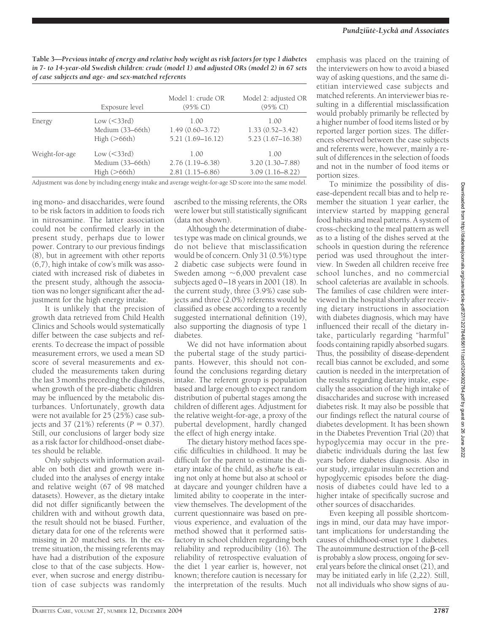**Table 3—***Previous intake of energy and relative body weight as risk factors for type 1 diabetes in 7- to 14-year-old Swedish children: crude (model 1) and adjusted ORs (model 2) in 67 sets of case subjects and age- and sex-matched referents*

|                | Exposure level     | Model 1: crude OR<br>$(95\% \text{ CI})$ | Model 2: adjusted OR<br>$(95\% \text{ CI})$ |
|----------------|--------------------|------------------------------------------|---------------------------------------------|
| Energy         | Low $(<$ 33rd $)$  | 1.00                                     | 1.00                                        |
|                | Medium (33-66th)   | $1.49(0.60 - 3.72)$                      | $1.33(0.52 - 3.42)$                         |
|                | High (>66th)       | $5.21(1.69 - 16.12)$                     | $5.23(1.67 - 16.38)$                        |
| Weight-for-age | Low $(<33rd)$      | 1.00                                     | 1.00                                        |
|                | Medium (33–66th)   | $2.76(1.19-6.38)$                        | $3.20(1.30 - 7.88)$                         |
|                | High $($ >66th $)$ | $2.81(1.15 - 6.86)$                      | $3.09(1.16 - 8.22)$                         |

Adjustment was done by including energy intake and average weight-for-age SD score into the same model.

ing mono- and disaccharides, were found to be risk factors in addition to foods rich in nitrosamine. The latter association could not be confirmed clearly in the present study, perhaps due to lower power. Contrary to our previous findings (8), but in agreement with other reports (6,7), high intake of cow's milk was associated with increased risk of diabetes in the present study, although the association was no longer significant after the adjustment for the high energy intake.

It is unlikely that the precision of growth data retrieved from Child Health Clinics and Schools would systematically differ between the case subjects and referents. To decrease the impact of possible measurement errors, we used a mean SD score of several measurements and excluded the measurements taken during the last 3 months preceding the diagnosis, when growth of the pre-diabetic children may be influenced by the metabolic disturbances. Unfortunately, growth data were not available for 25 (25%) case sub- $\text{jects}$  and 37 (21%) referents ( $P = 0.37$ ). Still, our conclusions of larger body size as a risk factor for childhood-onset diabetes should be reliable.

Only subjects with information available on both diet and growth were included into the analyses of energy intake and relative weight (67 of 98 matched datasets). However, as the dietary intake did not differ significantly between the children with and without growth data, the result should not be biased. Further, dietary data for one of the referents were missing in 20 matched sets. In the extreme situation, the missing referents may have had a distribution of the exposure close to that of the case subjects. However, when sucrose and energy distribution of case subjects was randomly ascribed to the missing referents, the ORs were lower but still statistically significant (data not shown).

Although the determination of diabetes type was made on clinical grounds, we do not believe that misclassification would be of concern. Only 31 (0.5%) type 2 diabetic case subjects were found in Sweden among  $\sim 6,000$  prevalent case subjects aged 0–18 years in 2001 (18). In the current study, three (3.9%) case subjects and three (2.0%) referents would be classified as obese according to a recently suggested international definition (19), also supporting the diagnosis of type 1 diabetes.

We did not have information about the pubertal stage of the study participants. However, this should not confound the conclusions regarding dietary intake. The referent group is population based and large enough to expect random distribution of pubertal stages among the children of different ages. Adjustment for the relative weight-for-age, a proxy of the pubertal development, hardly changed the effect of high energy intake.

The dietary history method faces specific difficulties in childhood. It may be difficult for the parent to estimate the dietary intake of the child, as she/he is eating not only at home but also at school or at daycare and younger children have a limited ability to cooperate in the interview themselves. The development of the current questionnaire was based on previous experience, and evaluation of the method showed that it performed satisfactory in school children regarding both reliability and reproducibility (16). The reliability of retrospective evaluation of the diet 1 year earlier is, however, not known; therefore caution is necessary for the interpretation of the results. Much

emphasis was placed on the training of the interviewers on how to avoid a biased way of asking questions, and the same dietitian interviewed case subjects and matched referents. An interviewer bias resulting in a differential misclassification would probably primarily be reflected by a higher number of food items listed or by reported larger portion sizes. The differences observed between the case subjects and referents were, however, mainly a result of differences in the selection of foods and not in the number of food items or portion sizes.

To minimize the possibility of disease-dependent recall bias and to help remember the situation 1 year earlier, the interview started by mapping general food habits and meal patterns. A system of cross-checking to the meal pattern as well as to a listing of the dishes served at the schools in question during the reference period was used throughout the interview. In Sweden all children receive free school lunches, and no commercial school cafeterias are available in schools. The families of case children were interviewed in the hospital shortly after receiving dietary instructions in association with diabetes diagnosis, which may have influenced their recall of the dietary intake, particularly regarding "harmful" foods containing rapidly absorbed sugars. Thus, the possibility of disease-dependent recall bias cannot be excluded, and some caution is needed in the interpretation of the results regarding dietary intake, especially the association of the high intake of disaccharides and sucrose with increased diabetes risk. It may also be possible that our findings reflect the natural course of diabetes development. It has been shown in the Diabetes Prevention Trial (20) that hypoglycemia may occur in the prediabetic individuals during the last few years before diabetes diagnosis. Also in our study, irregular insulin secretion and hypoglycemic episodes before the diagnosis of diabetes could have led to a higher intake of specifically sucrose and other sources of disaccharides.

Even keeping all possible shortcomings in mind, our data may have important implications for understanding the causes of childhood-onset type 1 diabetes. The autoimmune destruction of the B-cell is probably a slow process, ongoing for several years before the clinical onset (21), and may be initiated early in life (2,22). Still, not all individuals who show signs of au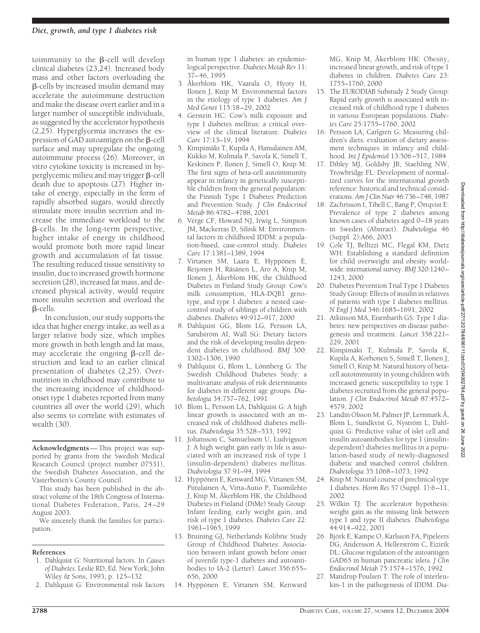toimmunity to the  $\beta$ -cell will develop clinical diabetes (23,24). Increased body mass and other factors overloading the -cells by increased insulin demand may accelerate the autoimmune destruction and make the disease overt earlier and in a larger number of susceptible individuals, as suggested by the accelerator hypothesis (2,25). Hyperglycemia increases the expression of GAD autoantigen on the  $\beta$ -cell surface and may upregulate the ongoing autoimmune process (26). Moreover, in vitro cytokine toxicity is increased in hyperglycemic milieu and may trigger  $\beta$ -cell death due to apoptosis (27). Higher intake of energy, especially in the form of rapidly absorbed sugars, would directly stimulate more insulin secretion and increase the immediate workload to the  $\beta$ -cells. In the long-term perspective, higher intake of energy in childhood would promote both more rapid linear growth and accumulation of fat tissue. The resulting reduced tissue sensitivity to insulin, due to increased growth hormone secretion (28), increased fat mass, and decreased physical activity, would require more insulin secretion and overload the -cells.

In conclusion, our study supports the idea that higher energy intake, as well as a larger relative body size, which implies more growth in both length and fat mass, may accelerate the ongoing  $\beta$ -cell destruction and lead to an earlier clinical presentation of diabetes (2,25). Overnutrition in childhood may contribute to the increasing incidence of childhoodonset type 1 diabetes reported from many countries all over the world (29), which also seems to correlate with estimates of wealth (30).

**Acknowledgments**— This project was supported by grants from the Swedish Medical Research Council (project number 07531), the Swedish Diabetes Association, and the Västerbotten's County Council.

This study has been published in the abstract volume of the 18th Congress of International Diabetes Federation, Paris, 24–29 August 2003.

We sincerely thank the families for participation.

#### **References**

- 1. Dahlquist G: Nutritional factors. In *Causes of Diabetes*. Leslie RD, Ed. New York, John Wiley & Sons, 1993, p. 125–132
- 2. Dahlquist G: Environmental risk factors

in human type 1 diabetes: an epidemiological perspective.*Diabetes Metab Rev* 11: 37–46, 1995

- 3. Åkerblom HK, Vaarala O, Hyoty H, Ilonen J, Knip M: Environmental factors in the etiology of type 1 diabetes. *Am J Med Genet* 115:18–29, 2002
- 4. Gerstein HC: Cow's milk exposure and type I diabetes mellitus: a critical overview of the clinical literature. *Diabetes Care* 17:13–19, 1994
- 5. Kimpimäki T, Kupila A, Hamalainen AM, Kukko M, Kulmala P, Savola K, Simell T, Keskinen P, Ilonen J, Simell O, Knip M: The first signs of beta-cell autoimmunity appear in infancy in genetically susceptible children from the general population: the Finnish Type 1 Diabetes Prediction and Prevention Study. *J Clin Endocrinol Metab* 86:4782–4788, 2001
- 6. Verge CF, Howard NJ, Irwig L, Simpson JM, Mackerras D, Silink M: Environmental factors in childhood IDDM: a population-based, case-control study. *Diabetes Care* 17:1381–1389, 1994
- 7. Virtanen SM, Laara E, Hyppönen E, Reijonen H, Räsänen L, Aro A, Knip M, Ilonen J, Åkerblom HK, the Childhood Diabetes in Finland Study Group: Cow's milk consumption, HLA-DQB1 genotype, and type 1 diabetes: a nested casecontrol study of siblings of children with diabetes. *Diabetes* 49:912–917, 2000
- 8. Dahlquist GG, Blom LG, Persson LA, Sandström AI, Wall SG: Dietary factors and the risk of developing insulin dependent diabetes in childhood. *BMJ* 300: 1302–1306, 1990
- 9. Dahlquist G, Blom L, Lönnberg G: The Swedish Childhood Diabetes Study: a multivariate analysis of risk determinants for diabetes in different age groups. *Diabetologia* 34:757–762, 1991
- 10. Blom L, Persson LA, Dahlquist G: A high linear growth is associated with an increased risk of childhood diabetes mellitus. *Diabetologia* 35:528–533, 1992
- 11. Johansson C, Samuelsson U, Ludvigsson J: A high weight gain early in life is associated with an increased risk of type 1 (insulin-dependent) diabetes mellitus. *Diabetologia* 37:91–94, 1994
- 12. Hyppönen E, Kenward MG, Virtanen SM, Piitulainen A, Virta-Autio P, Tuomilehto J, Knip M, Åkerblom HK, the Childhood Diabetes in Finland (DiMe) Study Group: Infant feeding, early weight gain, and risk of type 1 diabetes. *Diabetes Care* 22: 1961–1965, 1999
- 13. Bruining GJ, Netherlands Kolibrie Study Group of Childhood Diabetes: Association between infant growth before onset of juvenile type-1 diabetes and autoantibodies to IA-2 (Letter). *Lancet* 356:655– 656, 2000
- 14. Hyppönen E, Virtanen SM, Kenward

MG, Knip M, Åkerblom HK: Obesity, increased linear growth, and risk of type 1 diabetes in children. *Diabetes Care* 23: 1755–1760, 2000

- 15. The EURODIAB Substudy 2 Study Group: Rapid early growth is associated with increased risk of childhood type 1 diabetes in various European populations. *Diabetes Care* 25:1755–1760, 2002
- 16. Persson LA, Carlgren G: Measuring children's diets: evaluation of dietary assessment techniques in infancy and childhood. *Int J Epidemiol* 13:506–517, 1984
- 17. Dibley MJ, Goldsby JB, Staehling NW, Trowbridge FL: Development of normalized curves for the international growth reference: historical and technical considerations. *Am J Clin Nutr* 46:736–748, 1987
- 18. Zachrisson I, Tibell C, Bang P, Örtqvist E: Prevalence of type 2 diabetes among known cases of diabetes aged 0–18 years in Sweden (Abstract). *Diabetologia* 46 (Suppl. 2):A66, 2003
- 19. Cole TJ, Bellizzi MC, Flegal KM, Dietz WH: Establishing a standard definition for child overweight and obesity worldwide: international survey. *BMJ* 320:1240– 1243, 2000
- 20. Diabetes Prevention Trial Type 1 Diabetes Study Group: Effects of insulin in relatives of patients with type 1 diabetes mellitus. *N Engl J Med* 346:1685–1691, 2002
- 21. Atkinson MA, Eisenbarth GS: Type 1 diabetes: new perspectives on disease pathogenesis and treatment. *Lancet* 358:221– 229, 2001
- 22. Kimpimäki T, Kulmala P, Savola K, Kupila A, Korhonen S, Simell T, Ilonen J, Simell O, Knip M: Natural history of betacell autoimmunity in young children with increased genetic susceptibility to type 1 diabetes recruited from the general population. *J Clin Endocrinol Metab* 87:4572– 4579, 2002
- 23. Landin Olsson M, Palmer JP, Lernmark Å, Blom L, Sundkvist G, Nyström L, Dahlquist G: Predictive value of islet cell and insulin autoantibodies for type 1 (insulindependent) diabetes mellitus in a population-based study of newly-diagnosed diabetic and matched control children. *Diabetologia* 35:1068–1073, 1992
- 24. Knip M: Natural course of preclinical type 1 diabetes. *Horm Res* 57 (Suppl. 1):6–11, 2002
- 25. Wilkin TJ: The accelerator hypothesis: weight gain as the missing link between type I and type II diabetes. *Diabetologia* 44:914–922, 2001
- 26. Björk E, Kampe O, Karlsson FA, Pipeleers DG, Andersson A, Hellerström C, Eizirik DL: Glucose regulation of the autoantigen GAD65 in human pancreatic islets. *J Clin Endocrinol Metab* 75:1574–1576, 1992
- 27. Mandrup Poulsen T: The role of interleukin-1 in the pathogenesis of IDDM. *Dia-*